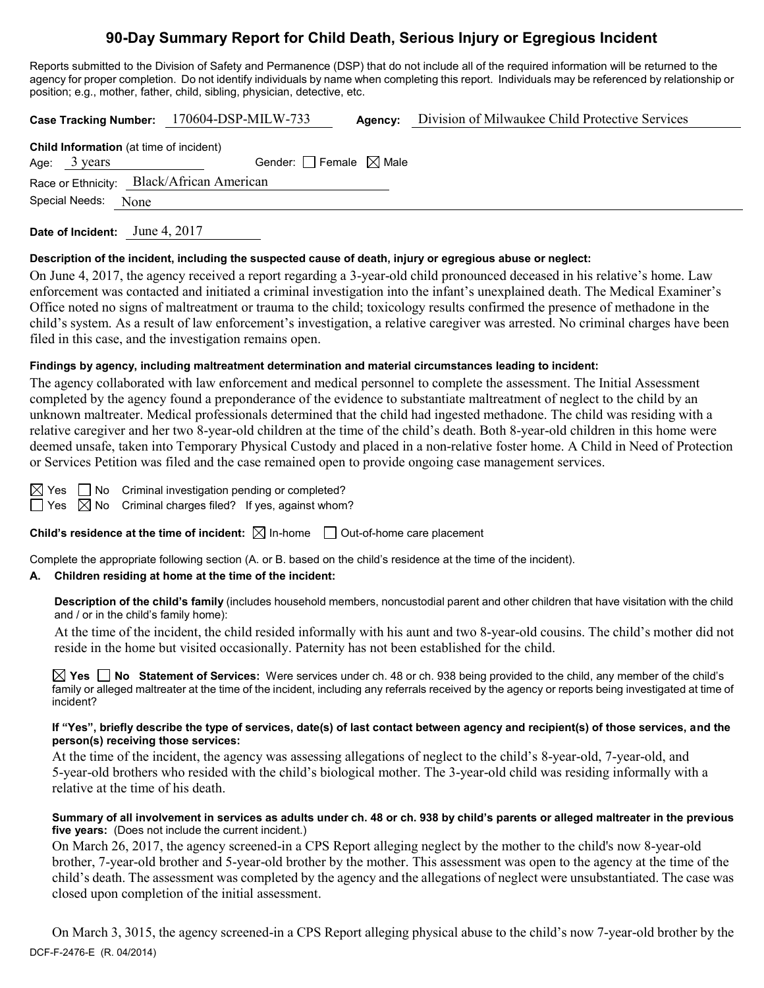# **90-Day Summary Report for Child Death, Serious Injury or Egregious Incident**

Reports submitted to the Division of Safety and Permanence (DSP) that do not include all of the required information will be returned to the agency for proper completion. Do not identify individuals by name when completing this report. Individuals may be referenced by relationship or position; e.g., mother, father, child, sibling, physician, detective, etc.

**Case Tracking Number:** 170604-DSP-MILW-733 **Agency:** Division of Milwaukee Child Protective Services

|                        | <b>Child Information</b> (at time of incident) |  |
|------------------------|------------------------------------------------|--|
| Age: $3 \text{ years}$ | Gender: Female $\boxtimes$ Male                |  |
|                        | Race or Ethnicity: Black/African American      |  |
| Special Needs: None    |                                                |  |
|                        |                                                |  |

**Date of Incident:** June 4, 2017

#### **Description of the incident, including the suspected cause of death, injury or egregious abuse or neglect:**

On June 4, 2017, the agency received a report regarding a 3-year-old child pronounced deceased in his relative's home. Law enforcement was contacted and initiated a criminal investigation into the infant's unexplained death. The Medical Examiner's Office noted no signs of maltreatment or trauma to the child; toxicology results confirmed the presence of methadone in the child's system. As a result of law enforcement's investigation, a relative caregiver was arrested. No criminal charges have been filed in this case, and the investigation remains open.

#### **Findings by agency, including maltreatment determination and material circumstances leading to incident:**

The agency collaborated with law enforcement and medical personnel to complete the assessment. The Initial Assessment completed by the agency found a preponderance of the evidence to substantiate maltreatment of neglect to the child by an unknown maltreater. Medical professionals determined that the child had ingested methadone. The child was residing with a relative caregiver and her two 8-year-old children at the time of the child's death. Both 8-year-old children in this home were deemed unsafe, taken into Temporary Physical Custody and placed in a non-relative foster home. A Child in Need of Protection or Services Petition was filed and the case remained open to provide ongoing case management services.

 $\boxtimes$  Yes  $\Box$  No Criminal investigation pending or completed?  $\Box$  Yes  $\boxtimes$  No Criminal charges filed? If yes, against whom?

**Child's residence at the time of incident:**  $\boxtimes$  In-home  $\Box$  Out-of-home care placement

Complete the appropriate following section (A. or B. based on the child's residence at the time of the incident).

# **A. Children residing at home at the time of the incident:**

**Description of the child's family** (includes household members, noncustodial parent and other children that have visitation with the child and / or in the child's family home):

At the time of the incident, the child resided informally with his aunt and two 8-year-old cousins. The child's mother did not reside in the home but visited occasionally. Paternity has not been established for the child.

**Yes No Statement of Services:** Were services under ch. 48 or ch. 938 being provided to the child, any member of the child's family or alleged maltreater at the time of the incident, including any referrals received by the agency or reports being investigated at time of incident?

**If "Yes", briefly describe the type of services, date(s) of last contact between agency and recipient(s) of those services, and the person(s) receiving those services:**

At the time of the incident, the agency was assessing allegations of neglect to the child's 8-year-old, 7-year-old, and 5-year-old brothers who resided with the child's biological mother. The 3-year-old child was residing informally with a relative at the time of his death.

**Summary of all involvement in services as adults under ch. 48 or ch. 938 by child's parents or alleged maltreater in the previous five years:** (Does not include the current incident.)

On March 26, 2017, the agency screened-in a CPS Report alleging neglect by the mother to the child's now 8-year-old brother, 7-year-old brother and 5-year-old brother by the mother. This assessment was open to the agency at the time of the child's death. The assessment was completed by the agency and the allegations of neglect were unsubstantiated. The case was closed upon completion of the initial assessment.

DCF-F-2476-E (R. 04/2014) On March 3, 3015, the agency screened-in a CPS Report alleging physical abuse to the child's now 7-year-old brother by the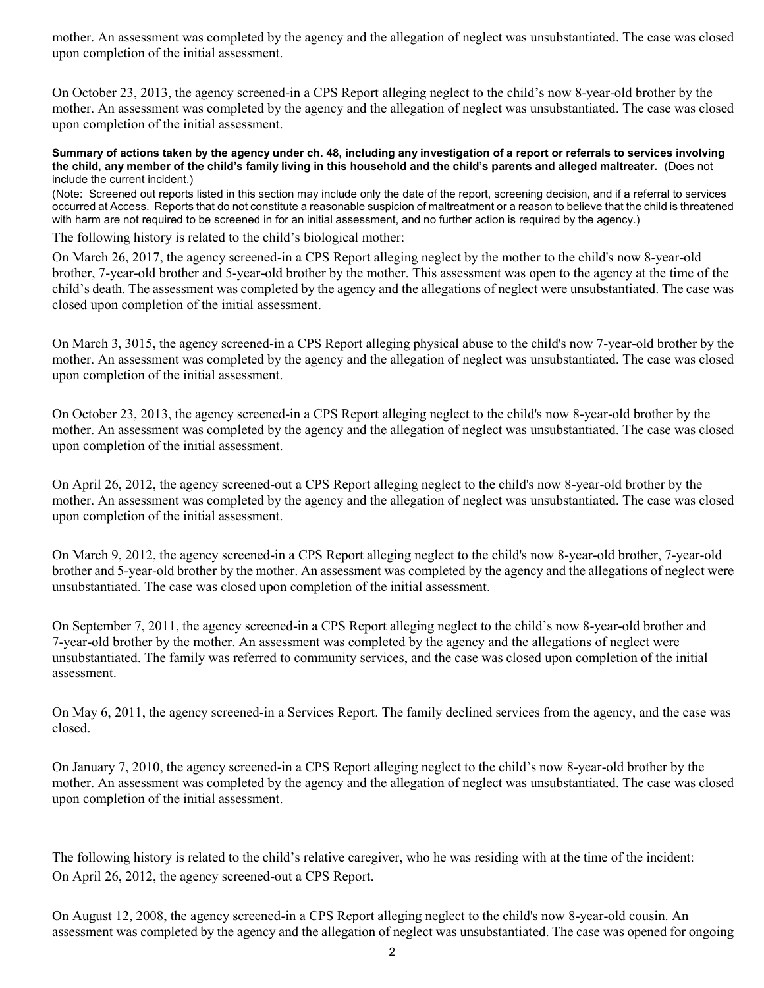mother. An assessment was completed by the agency and the allegation of neglect was unsubstantiated. The case was closed upon completion of the initial assessment.

On October 23, 2013, the agency screened-in a CPS Report alleging neglect to the child's now 8-year-old brother by the mother. An assessment was completed by the agency and the allegation of neglect was unsubstantiated. The case was closed upon completion of the initial assessment.

#### **Summary of actions taken by the agency under ch. 48, including any investigation of a report or referrals to services involving the child, any member of the child's family living in this household and the child's parents and alleged maltreater.** (Does not include the current incident.)

(Note: Screened out reports listed in this section may include only the date of the report, screening decision, and if a referral to services occurred at Access. Reports that do not constitute a reasonable suspicion of maltreatment or a reason to believe that the child is threatened with harm are not required to be screened in for an initial assessment, and no further action is required by the agency.)

The following history is related to the child's biological mother:

On March 26, 2017, the agency screened-in a CPS Report alleging neglect by the mother to the child's now 8-year-old brother, 7-year-old brother and 5-year-old brother by the mother. This assessment was open to the agency at the time of the child's death. The assessment was completed by the agency and the allegations of neglect were unsubstantiated. The case was closed upon completion of the initial assessment.

On March 3, 3015, the agency screened-in a CPS Report alleging physical abuse to the child's now 7-year-old brother by the mother. An assessment was completed by the agency and the allegation of neglect was unsubstantiated. The case was closed upon completion of the initial assessment.

On October 23, 2013, the agency screened-in a CPS Report alleging neglect to the child's now 8-year-old brother by the mother. An assessment was completed by the agency and the allegation of neglect was unsubstantiated. The case was closed upon completion of the initial assessment.

On April 26, 2012, the agency screened-out a CPS Report alleging neglect to the child's now 8-year-old brother by the mother. An assessment was completed by the agency and the allegation of neglect was unsubstantiated. The case was closed upon completion of the initial assessment.

On March 9, 2012, the agency screened-in a CPS Report alleging neglect to the child's now 8-year-old brother, 7-year-old brother and 5-year-old brother by the mother. An assessment was completed by the agency and the allegations of neglect were unsubstantiated. The case was closed upon completion of the initial assessment.

On September 7, 2011, the agency screened-in a CPS Report alleging neglect to the child's now 8-year-old brother and 7-year-old brother by the mother. An assessment was completed by the agency and the allegations of neglect were unsubstantiated. The family was referred to community services, and the case was closed upon completion of the initial assessment.

On May 6, 2011, the agency screened-in a Services Report. The family declined services from the agency, and the case was closed.

On January 7, 2010, the agency screened-in a CPS Report alleging neglect to the child's now 8-year-old brother by the mother. An assessment was completed by the agency and the allegation of neglect was unsubstantiated. The case was closed upon completion of the initial assessment.

The following history is related to the child's relative caregiver, who he was residing with at the time of the incident: On April 26, 2012, the agency screened-out a CPS Report.

On August 12, 2008, the agency screened-in a CPS Report alleging neglect to the child's now 8-year-old cousin. An assessment was completed by the agency and the allegation of neglect was unsubstantiated. The case was opened for ongoing